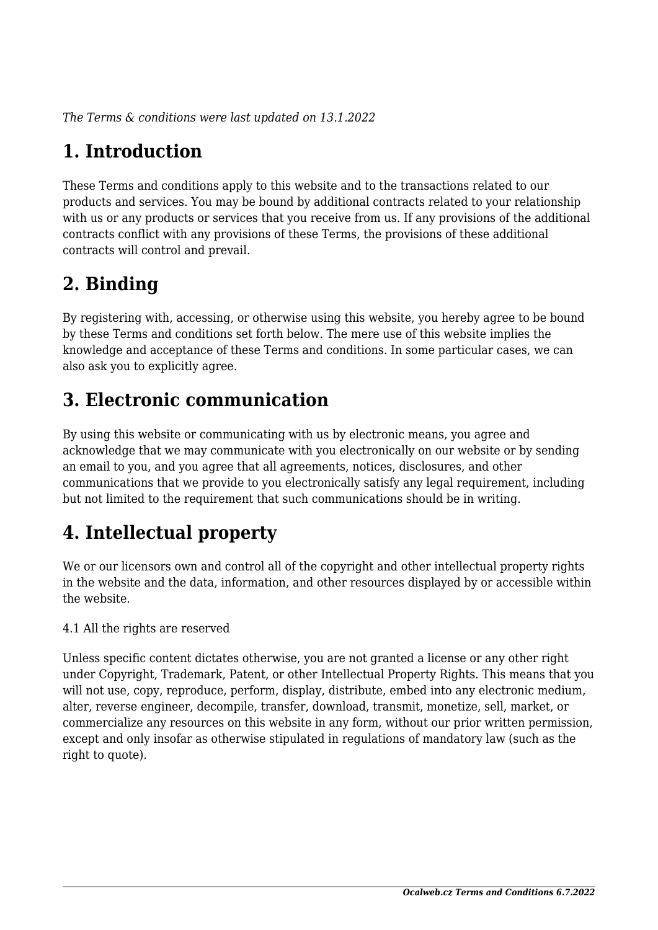*The Terms & conditions were last updated on 13.1.2022*

# **1. Introduction**

These Terms and conditions apply to this website and to the transactions related to our products and services. You may be bound by additional contracts related to your relationship with us or any products or services that you receive from us. If any provisions of the additional contracts conflict with any provisions of these Terms, the provisions of these additional contracts will control and prevail.

## **2. Binding**

By registering with, accessing, or otherwise using this website, you hereby agree to be bound by these Terms and conditions set forth below. The mere use of this website implies the knowledge and acceptance of these Terms and conditions. In some particular cases, we can also ask you to explicitly agree.

# **3. Electronic communication**

By using this website or communicating with us by electronic means, you agree and acknowledge that we may communicate with you electronically on our website or by sending an email to you, and you agree that all agreements, notices, disclosures, and other communications that we provide to you electronically satisfy any legal requirement, including but not limited to the requirement that such communications should be in writing.

# **4. Intellectual property**

We or our licensors own and control all of the copyright and other intellectual property rights in the website and the data, information, and other resources displayed by or accessible within the website.

4.1 All the rights are reserved

Unless specific content dictates otherwise, you are not granted a license or any other right under Copyright, Trademark, Patent, or other Intellectual Property Rights. This means that you will not use, copy, reproduce, perform, display, distribute, embed into any electronic medium, alter, reverse engineer, decompile, transfer, download, transmit, monetize, sell, market, or commercialize any resources on this website in any form, without our prior written permission, except and only insofar as otherwise stipulated in regulations of mandatory law (such as the right to quote).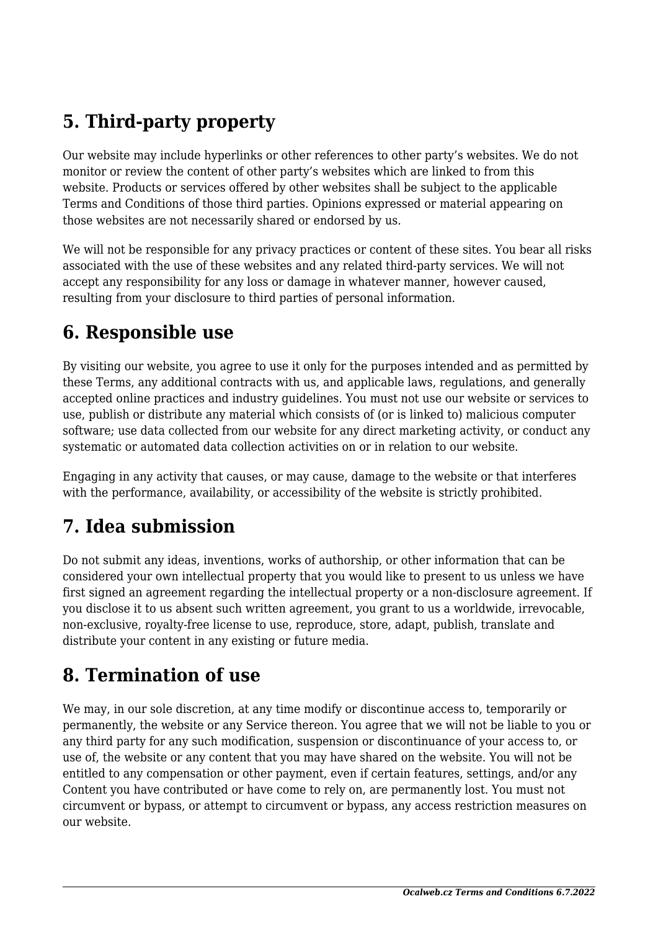# **5. Third-party property**

Our website may include hyperlinks or other references to other party's websites. We do not monitor or review the content of other party's websites which are linked to from this website. Products or services offered by other websites shall be subject to the applicable Terms and Conditions of those third parties. Opinions expressed or material appearing on those websites are not necessarily shared or endorsed by us.

We will not be responsible for any privacy practices or content of these sites. You bear all risks associated with the use of these websites and any related third-party services. We will not accept any responsibility for any loss or damage in whatever manner, however caused, resulting from your disclosure to third parties of personal information.

#### **6. Responsible use**

By visiting our website, you agree to use it only for the purposes intended and as permitted by these Terms, any additional contracts with us, and applicable laws, regulations, and generally accepted online practices and industry guidelines. You must not use our website or services to use, publish or distribute any material which consists of (or is linked to) malicious computer software; use data collected from our website for any direct marketing activity, or conduct any systematic or automated data collection activities on or in relation to our website.

Engaging in any activity that causes, or may cause, damage to the website or that interferes with the performance, availability, or accessibility of the website is strictly prohibited.

## **7. Idea submission**

Do not submit any ideas, inventions, works of authorship, or other information that can be considered your own intellectual property that you would like to present to us unless we have first signed an agreement regarding the intellectual property or a non-disclosure agreement. If you disclose it to us absent such written agreement, you grant to us a worldwide, irrevocable, non-exclusive, royalty-free license to use, reproduce, store, adapt, publish, translate and distribute your content in any existing or future media.

### **8. Termination of use**

We may, in our sole discretion, at any time modify or discontinue access to, temporarily or permanently, the website or any Service thereon. You agree that we will not be liable to you or any third party for any such modification, suspension or discontinuance of your access to, or use of, the website or any content that you may have shared on the website. You will not be entitled to any compensation or other payment, even if certain features, settings, and/or any Content you have contributed or have come to rely on, are permanently lost. You must not circumvent or bypass, or attempt to circumvent or bypass, any access restriction measures on our website.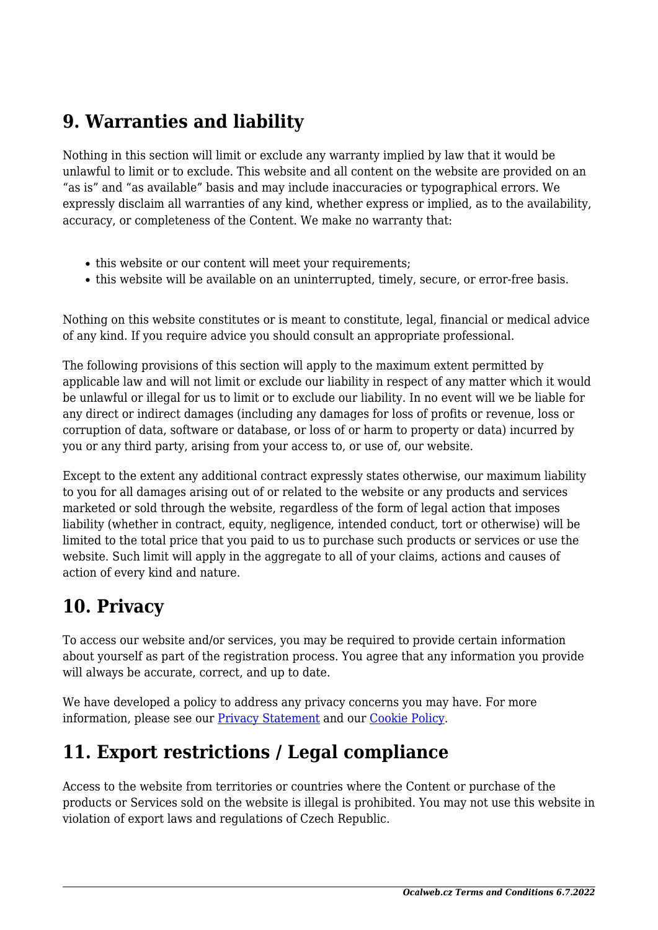### **9. Warranties and liability**

Nothing in this section will limit or exclude any warranty implied by law that it would be unlawful to limit or to exclude. This website and all content on the website are provided on an "as is" and "as available" basis and may include inaccuracies or typographical errors. We expressly disclaim all warranties of any kind, whether express or implied, as to the availability, accuracy, or completeness of the Content. We make no warranty that:

- this website or our content will meet your requirements;
- this website will be available on an uninterrupted, timely, secure, or error-free basis.

Nothing on this website constitutes or is meant to constitute, legal, financial or medical advice of any kind. If you require advice you should consult an appropriate professional.

The following provisions of this section will apply to the maximum extent permitted by applicable law and will not limit or exclude our liability in respect of any matter which it would be unlawful or illegal for us to limit or to exclude our liability. In no event will we be liable for any direct or indirect damages (including any damages for loss of profits or revenue, loss or corruption of data, software or database, or loss of or harm to property or data) incurred by you or any third party, arising from your access to, or use of, our website.

Except to the extent any additional contract expressly states otherwise, our maximum liability to you for all damages arising out of or related to the website or any products and services marketed or sold through the website, regardless of the form of legal action that imposes liability (whether in contract, equity, negligence, intended conduct, tort or otherwise) will be limited to the total price that you paid to us to purchase such products or services or use the website. Such limit will apply in the aggregate to all of your claims, actions and causes of action of every kind and nature.

### **10. Privacy**

To access our website and/or services, you may be required to provide certain information about yourself as part of the registration process. You agree that any information you provide will always be accurate, correct, and up to date.

We have developed a policy to address any privacy concerns you may have. For more information, please see our **Privacy Statement** and our Cookie Policy.

## **11. Export restrictions / Legal compliance**

Access to the website from territories or countries where the Content or purchase of the products or Services sold on the website is illegal is prohibited. You may not use this website in violation of export laws and regulations of Czech Republic.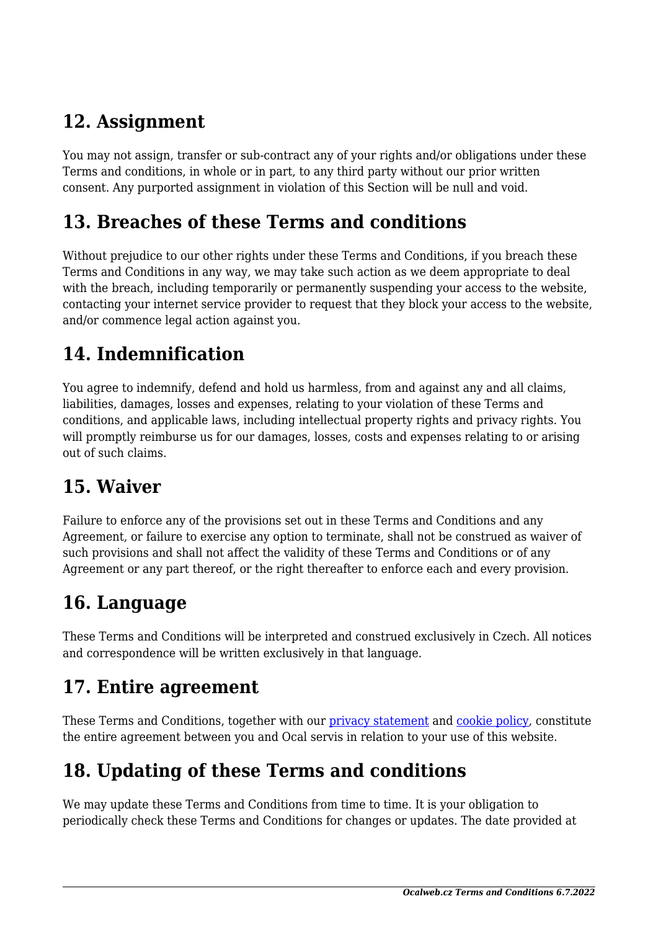### **12. Assignment**

You may not assign, transfer or sub-contract any of your rights and/or obligations under these Terms and conditions, in whole or in part, to any third party without our prior written consent. Any purported assignment in violation of this Section will be null and void.

#### **13. Breaches of these Terms and conditions**

Without prejudice to our other rights under these Terms and Conditions, if you breach these Terms and Conditions in any way, we may take such action as we deem appropriate to deal with the breach, including temporarily or permanently suspending your access to the website, contacting your internet service provider to request that they block your access to the website, and/or commence legal action against you.

# **14. Indemnification**

You agree to indemnify, defend and hold us harmless, from and against any and all claims, liabilities, damages, losses and expenses, relating to your violation of these Terms and conditions, and applicable laws, including intellectual property rights and privacy rights. You will promptly reimburse us for our damages, losses, costs and expenses relating to or arising out of such claims.

### **15. Waiver**

Failure to enforce any of the provisions set out in these Terms and Conditions and any Agreement, or failure to exercise any option to terminate, shall not be construed as waiver of such provisions and shall not affect the validity of these Terms and Conditions or of any Agreement or any part thereof, or the right thereafter to enforce each and every provision.

### **16. Language**

These Terms and Conditions will be interpreted and construed exclusively in Czech. All notices and correspondence will be written exclusively in that language.

#### **17. Entire agreement**

These Terms and Conditions, together with our privacy statement and cookie policy, constitute the entire agreement between you and Ocal servis in relation to your use of this website.

# **18. Updating of these Terms and conditions**

We may update these Terms and Conditions from time to time. It is your obligation to periodically check these Terms and Conditions for changes or updates. The date provided at